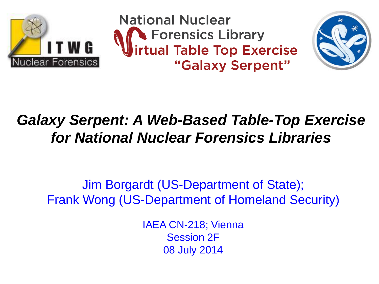

**National Nuclear S** Forensics Library<br>**Intual Table Top Exercise** "Galaxy Serpent"



### *Galaxy Serpent: A Web-Based Table-Top Exercise for National Nuclear Forensics Libraries*

Jim Borgardt (US-Department of State); Frank Wong (US-Department of Homeland Security)

> IAEA CN-218; Vienna Session 2F 08 July 2014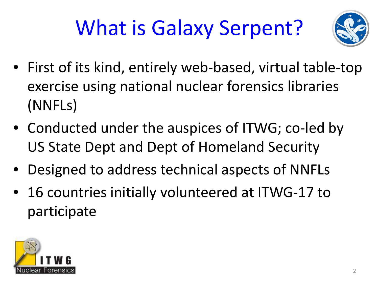# What is Galaxy Serpent?



- First of its kind, entirely web-based, virtual table-top exercise using national nuclear forensics libraries (NNFLs)
- Conducted under the auspices of ITWG; co-led by US State Dept and Dept of Homeland Security
- Designed to address technical aspects of NNFLs
- 16 countries initially volunteered at ITWG-17 to participate

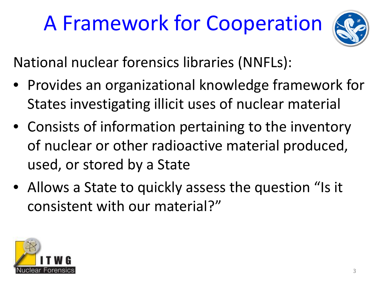### A Framework for Cooperation



National nuclear forensics libraries (NNFLs):

- Provides an organizational knowledge framework for States investigating illicit uses of nuclear material
- Consists of information pertaining to the inventory of nuclear or other radioactive material produced, used, or stored by a State
- Allows a State to quickly assess the question "Is it consistent with our material?"

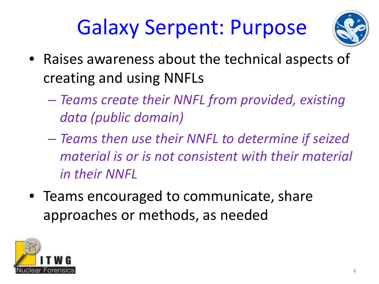### Galaxy Serpent: Purpose



- Raises awareness about the technical aspects of creating and using NNFLs
	- *Teams create their NNFL from provided, existing data (public domain)*
	- *Teams then use their NNFL to determine if seized material is or is not consistent with their material in their NNFL*
- Teams encouraged to communicate, share approaches or methods, as needed

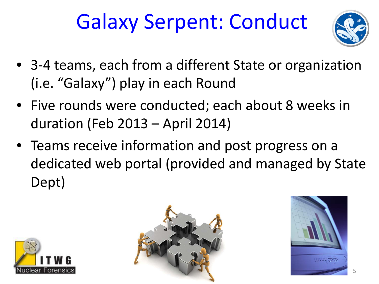### Galaxy Serpent: Conduct



- 3-4 teams, each from a different State or organization (i.e. "Galaxy") play in each Round
- Five rounds were conducted; each about 8 weeks in duration (Feb 2013 – April 2014)
- Teams receive information and post progress on a dedicated web portal (provided and managed by State Dept)





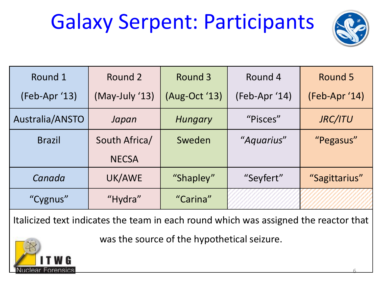### Galaxy Serpent: Participants



| Round 1         | Round 2        | Round 3       | Round 4       | Round 5       |
|-----------------|----------------|---------------|---------------|---------------|
| (Feb-Apr '13)   | (May-July '13) | (Aug-Oct '13) | (Feb-Apr '14) | (Feb-Apr '14) |
| Australia/ANSTO | Japan          | Hungary       | "Pisces"      | JRC/ITU       |
| <b>Brazil</b>   | South Africa/  | Sweden        | "Aquarius"    | "Pegasus"     |
|                 | <b>NECSA</b>   |               |               |               |
| Canada          | UK/AWE         | "Shapley"     | "Seyfert"     | "Sagittarius" |
| "Cygnus"        | "Hydra"        | "Carina"      |               |               |

Italicized text indicates the team in each round which was assigned the reactor that

was the source of the hypothetical seizure.

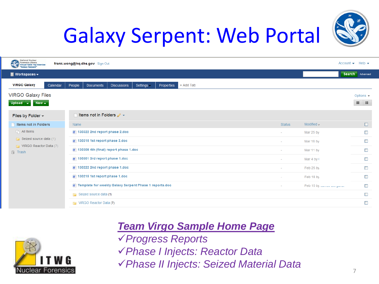

### Galaxy Serpent: Web Portal

| National Nuclear<br>Forensics Library<br>Virtual Table Top Exercise<br>"Galaxy Serpent"<br>œ<br>frank.wong@hq.dhs.gov Sign Out |                                                                                           |               |                           |                               |
|--------------------------------------------------------------------------------------------------------------------------------|-------------------------------------------------------------------------------------------|---------------|---------------------------|-------------------------------|
| <b>Workspaces <math>\star</math></b>                                                                                           |                                                                                           |               |                           | Search<br>Advanced            |
| <b>VIRGO Galaxy</b><br>Calendar                                                                                                | + Add Tab<br><b>Documents</b><br><b>Discussions</b><br>Settings -<br>Properties<br>People |               |                           |                               |
| <b>VIRGO Galaxy Files</b>                                                                                                      |                                                                                           |               |                           | Options $\blacktriangleright$ |
| Upload $\rightarrow$<br>$New -$                                                                                                |                                                                                           |               |                           | $\equiv$<br>注                 |
| Files by Folder $\sim$                                                                                                         | Items not in Folders $\mathscr{P}$ $\star$                                                |               |                           |                               |
| Items not in Folders<br>$\Box$ All Items<br>$\Box$ Seized source data (1)<br>VIRGO Reactor Data (7)<br><b>同</b> Trash          | Name                                                                                      | <b>Status</b> | Modified $\sim$           | $\Box$                        |
|                                                                                                                                | 圖 130322 2nd report phase 2.doc                                                           |               | Mar 25 by                 | $\mathbb{R}^n$                |
|                                                                                                                                | 130315 1st report phase 2.doc                                                             |               | Mar 18 by                 | $\Box$                        |
|                                                                                                                                | ■ 130308 4th (final) report phase 1.doc                                                   |               | Mar 11 by                 | $\Box$                        |
|                                                                                                                                | 圖 130301 3rd report phase 1.doc                                                           |               | Mar 4 by 0                | $\overline{\phantom{a}}$      |
|                                                                                                                                | 130222 2nd report phase 1.doc                                                             |               | Feb 25 by                 | $\Box$                        |
|                                                                                                                                | <b>■ 130215 1st report phase 1.doc</b>                                                    |               | Feb 18 by                 | $\Box$                        |
|                                                                                                                                | Template for weekly Galaxy Serpent Phase 1 reports.doc                                    |               | Feb 15 by Junior Dorgeron | $\Box$                        |
|                                                                                                                                | <b>Fig.</b> Seized source data (1)                                                        |               |                           | $\Box$                        |
|                                                                                                                                | <b>Fig.</b> VIRGO Reactor Data (7)                                                        |               |                           | $\Box$                        |
|                                                                                                                                |                                                                                           |               |                           |                               |



*Team Virgo Sample Home Page Progress Reports Phase I Injects: Reactor Data Phase II Injects: Seized Material Data* 7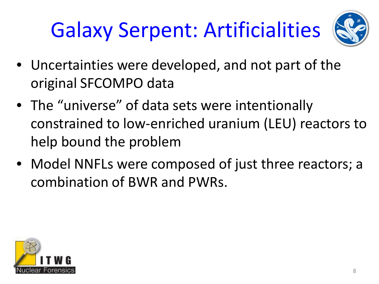# Galaxy Serpent: Artificialities



- Uncertainties were developed, and not part of the original SFCOMPO data
- The "universe" of data sets were intentionally constrained to low-enriched uranium (LEU) reactors to help bound the problem
- Model NNFLs were composed of just three reactors; a combination of BWR and PWRs.

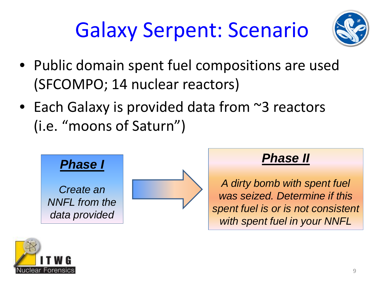### Galaxy Serpent: Scenario



- Public domain spent fuel compositions are used (SFCOMPO; 14 nuclear reactors)
- Each Galaxy is provided data from ~3 reactors (i.e. "moons of Saturn")



#### *Phase II*

*A dirty bomb with spent fuel was seized. Determine if this spent fuel is or is not consistent with spent fuel in your NNFL*

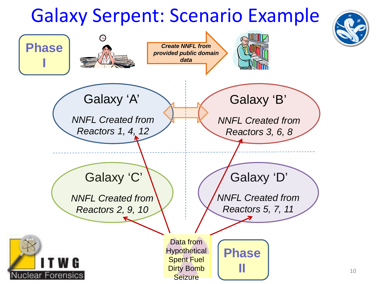### Galaxy Serpent: Scenario Example



10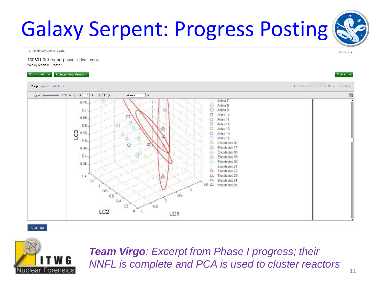### Galaxy Serpent: Progress Posting

◀ Back to Items not in Folders

130301 3rd report phase 1.doc 135 KB Weekly report 3 - Phase 1

Download  $\rightarrow$  Upload New Version

#### Last edited b is Mar 4 No Status Tags: report edit tags  $100\% + \cdot P$  4 2 /4  $\rightarrow I$  0 Search.  $\bigcirc$  = Artha 7 0.76 Antha 8 O Ö Arthe 9  $0.7$ а Atlan 10 0.66 Atlas 11 Ξ Atlas 12  $0.6$ Atlas 13 8  $0.56$ Atlas 14 **Atlas 15**  $0.5$ Enceladus 16 Encalados 17  $0.46$ Enceladus 18  $0.4$ Enceladus 19 Enceladus 20  $0.36$ Enceladus<sub>21</sub> Encelados 22 Λ Δ Enceladus 23  $1.4$ Δ Encaladus 24  $1.2$  $1.5 \triangle$ Enceladus 25  $08$ 05  $0.6$  $0.4$  $0.2$  $05$ LC<sub>2</sub>  $\Box$ LC1

Audit Log



*Team Virgo: Excerpt from Phase I progress; their NNFL is complete and PCA is used to cluster reactors* 



Options .

Share -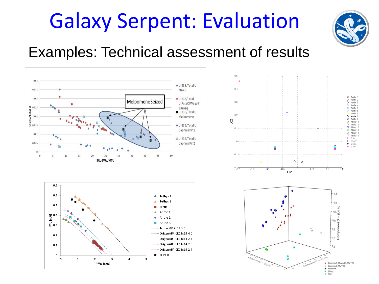### Galaxy Serpent: Evaluation



#### Examples: Technical assessment of results







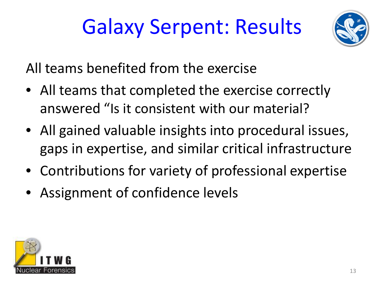# Galaxy Serpent: Results



All teams benefited from the exercise

- All teams that completed the exercise correctly answered "Is it consistent with our material?
- All gained valuable insights into procedural issues, gaps in expertise, and similar critical infrastructure
- Contributions for variety of professional expertise
- Assignment of confidence levels

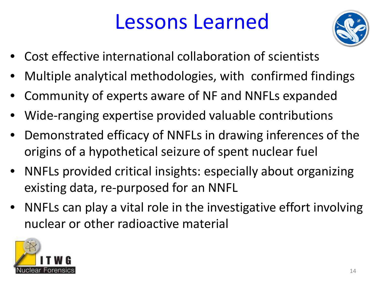### Lessons Learned



- Cost effective international collaboration of scientists
- Multiple analytical methodologies, with confirmed findings
- Community of experts aware of NF and NNFLs expanded
- Wide-ranging expertise provided valuable contributions
- Demonstrated efficacy of NNFLs in drawing inferences of the origins of a hypothetical seizure of spent nuclear fuel
- NNFLs provided critical insights: especially about organizing existing data, re-purposed for an NNFL
- NNFLs can play a vital role in the investigative effort involving nuclear or other radioactive material